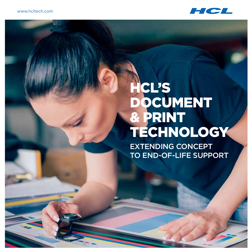

# HCL's Document & Print Technology

Extending Concept to End-of-Life Support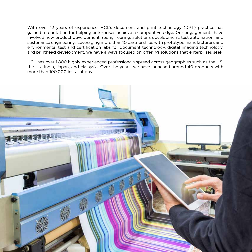With over 12 years of experience, HCL's document and print technology (DPT) practice has gained a reputation for helping enterprises achieve a competitive edge. Our engagements have involved new product development, reengineering, solutions development, test automation, and sustenance engineering. Leveraging more than 10 partnerships with prototype manufacturers and environmental test and certification labs for document technology, digital imaging technology, and printhead development, we have always focused on offering solutions that enterprises seek.

HCL has over 1,800 highly experienced professionals spread across geographies such as the US, the UK, India, Japan, and Malaysia. Over the years, we have launched around 40 products with more than 100,000 installations.

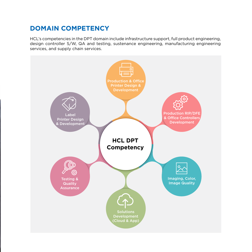### **Domain Competency**

HCL's competencies in the DPT domain include infrastructure support, full product engineering, design controller S/W, QA and testing, sustenance engineering, manufacturing engineering services, and supply chain services.

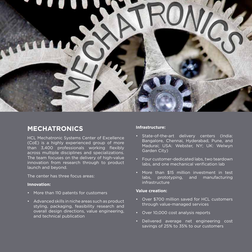

#### **Mechatronics**

HCL Mechatronic Systems Center of Excellence (CoE) is a highly experienced group of more than 3,400 professionals working flexibly across multiple disciplines and specializations. The team focuses on the delivery of high-value innovation from research through to product launch and beyond.

The center has three focus areas:

#### **Innovation:**

- • More than 110 patents for customers
- • Advanced skills in niche areas such as product styling, packaging, feasibility research and overall design directions, value engineering, and technical publication

#### **Infrastructure:**

- • State-of-the-art delivery centers (India: Bangalore, Chennai, Hyderabad, Pune, and Madurai; USA: Webster, NY; UK: Welwyn Garden City)
- • Four customer-dedicated labs, two teardown labs, and one mechanical verification lab
- • More than \$15 million investment in test labs, prototyping, and manufacturing infrastructure

#### **Value creation:**

- • Over \$700 million saved for HCL customers through value-managed services
- • Over 10,000 cost analysis reports
- • Delivered average net engineering cost savings of 25% to 35% to our customers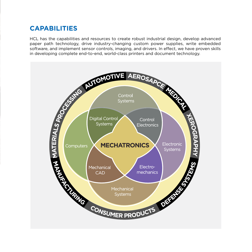# **Capabilities**

paper path technology, drive industry-changing custom power supplies, write embedded software, and implement sensor controls, imaging, and drivers. In effect, we have proven skills in developing complete end-to-end, world-class printers and document technology.

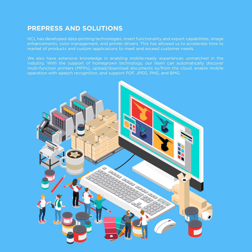#### **Prepress and Solutions**

HCL has developed data-printing technologies, insert functionality and export capabilities, image enhancements, color management, and printer drivers. This has allowed us to accelerate time to market of products and custom applications to meet and exceed customer needs.

We also have extensive knowledge in enabling mobile-ready experiences unmatched in the industry. With the support of homegrown technology, our team can automatically discover multi-function printers (MFPs), upload/download documents to/from the cloud, enable mobile operation with speech recognition, and support PDF, JPEG, PNG, and BMG.

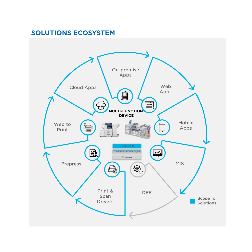# **Solutions Ecosystem**

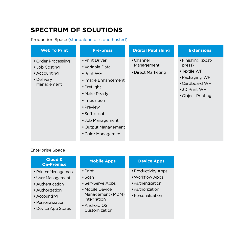# **Spectrum of Solutions**

Production Space (standalone or cloud hosted)

#### Enterprise Space

| <b>Cloud &amp;</b><br><b>On-Premise</b>                                                                                                      | <b>Mobile Apps</b>                                                                                                                            | <b>Device Apps</b>                                                                                 |
|----------------------------------------------------------------------------------------------------------------------------------------------|-----------------------------------------------------------------------------------------------------------------------------------------------|----------------------------------------------------------------------------------------------------|
| • Printer Management<br>• User Management<br>• Authentication<br>• Authorization<br>• Accounting<br>• Personalization<br>• Device App Stores | $\bullet$ Print<br>$\bullet$ Scan<br>• Self-Serve Apps<br>• Mobile Device<br>Management (MDM)<br>Integration<br>• Android OS<br>Customization | • Productivity Apps<br>• Workflow Apps<br>• Authentication<br>• Authorization<br>• Personalization |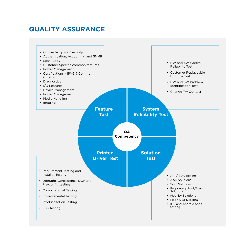#### **Quality Assurance**

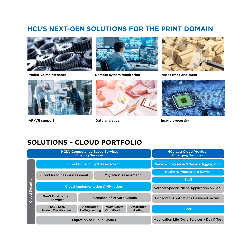#### **HCL's Next-Gen Solutions for the Print Domain**



**Predictive maintenance**



**Remote system monitoring**



**Asset track and trace**



**AR/VR support**



**Data analytics**



**Image processing**

#### **Solutions – Cloud Portfolio**

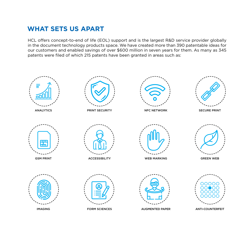# **What Sets Us Apart**

HCL offers concept-to-end of life (EOL) support and is the largest R&D service provider globally in the document technology products space. We have created more than 390 patentable ideas for our customers and enabled savings of over \$600 million in seven years for them. As many as 345 patents were filed of which 215 patents have been granted in areas such as:

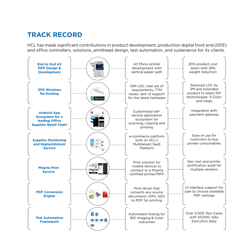# **Track Record**

HCL has made significant contributions in product development, production digital front end (DFE) and office controllers, solutions, printhead design, test automation, and sustenance for its clients.

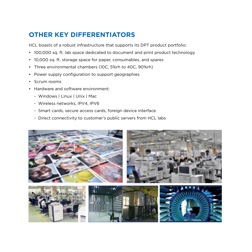# **Other Key Differentiators**

HCL boasts of a robust infrastructure that supports its DPT product portfolio:

- 100,000 sq. ft. lab space dedicated to document and print product technology
- 10,000 sq. ft. storage space for paper, consumables, and spares
- Three environmental chambers (10C, 5%rh to 40C, 90%rh)
- Power supply configuration to support geographies
- • Scrum rooms
- • Hardware and software environment:
	- Windows | Linux | Unix | Mac
	- Wireless networks, IPV4, IPV6
	- Smart cards, secure access cards, foreign device interface
	- Direct connectivity to customer's public servers from HCL labs

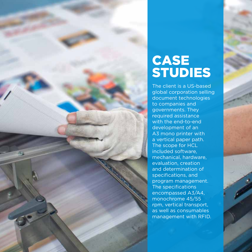# **CASE STUDIES**

The client is a US-based global corporation selling document technologies to companies and governments. They required assistance with the end-to-end development of an A3 mono printer with a vertical paper path. The scope for HCL included software, mechanical, hardware, evaluation, creation and determination of specifications, and program management. The specifications encompassed A3/A4, monochrome 45/55 rpm, vertical transport, as well as consumables management with RFID.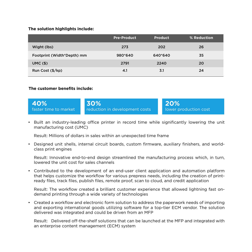#### **The solution highlights include:**

|                            | <b>Pre-Product</b> | <b>Product</b> | % Reduction |
|----------------------------|--------------------|----------------|-------------|
| Wight (lbs)                | 273                | 202            | 26          |
| Footprint (Width*Depth) mm | 980*640            | 640*640        | 35          |
| UMC(S)                     | 2791               | 2240           | 20          |
| Run Cost (\$/kp)           | 4.1                | 3.1            | 24          |

#### **The customer benefits include:**



• Built an industry-leading office printer in record time while significantly lowering the unit manufacturing cost (UMC)

Result: Millions of dollars in sales within an unexpected time frame

• Designed unit shells, internal circuit boards, custom firmware, auxiliary finishers, and worldclass print engines

Result: Innovative end-to-end design streamlined the manufacturing process which, in turn, lowered the unit cost for sales channels

• Contributed to the development of an end-user client application and automation platform that helps customize the workflow for various prepress needs, including the creation of printready files, track files, publish files, remote proof, scan to cloud, and credit application

Result: The workflow created a brilliant customer experience that allowed lightning fast ondemand printing through a wide variety of technologies

• Created a workflow and electronic form solution to address the paperwork needs of importing and exporting international goods utilizing software for a top-tier ECM vendor. The solution delivered was integrated and could be driven from an MFP

Result: Delivered off-the-shelf solutions that can be launched at the MFP and integrated with an enterprise content management (ECM) system